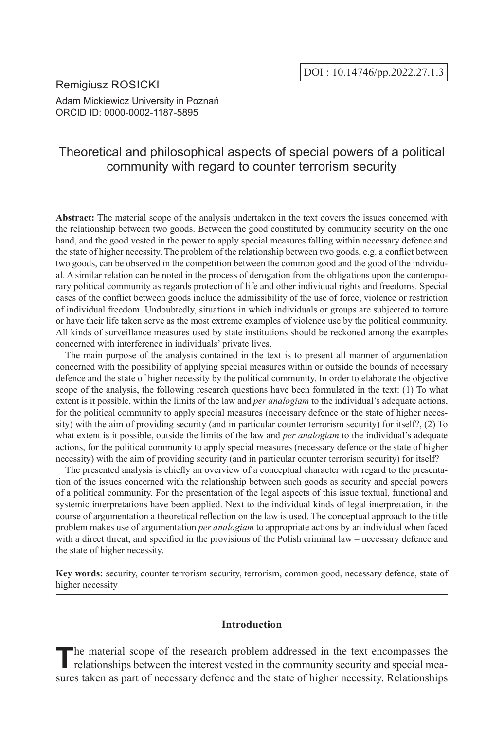## Remigiusz ROSICKI Adam Mickiewicz University in Poznań ORCID ID: 0000-0002-1187-5895

# Theoretical and philosophical aspects of special powers of a political community with regard to counter terrorism security

**Abstract:** The material scope of the analysis undertaken in the text covers the issues concerned with the relationship between two goods. Between the good constituted by community security on the one hand, and the good vested in the power to apply special measures falling within necessary defence and the state of higher necessity. The problem of the relationship between two goods, e.g. a conflict between two goods, can be observed in the competition between the common good and the good of the individual. A similar relation can be noted in the process of derogation from the obligations upon the contemporary political community as regards protection of life and other individual rights and freedoms. Special cases of the conflict between goods include the admissibility of the use of force, violence or restriction of individual freedom. Undoubtedly, situations in which individuals or groups are subjected to torture or have their life taken serve as the most extreme examples of violence use by the political community. All kinds of surveillance measures used by state institutions should be reckoned among the examples concerned with interference in individuals' private lives.

The main purpose of the analysis contained in the text is to present all manner of argumentation concerned with the possibility of applying special measures within or outside the bounds of necessary defence and the state of higher necessity by the political community. In order to elaborate the objective scope of the analysis, the following research questions have been formulated in the text: (1) To what extent is it possible, within the limits of the law and *per analogiam* to the individual's adequate actions, for the political community to apply special measures (necessary defence or the state of higher necessity) with the aim of providing security (and in particular counter terrorism security) for itself?, (2) To what extent is it possible, outside the limits of the law and *per analogiam* to the individual's adequate actions, for the political community to apply special measures (necessary defence or the state of higher necessity) with the aim of providing security (and in particular counter terrorism security) for itself?

The presented analysis is chiefly an overview of a conceptual character with regard to the presentation of the issues concerned with the relationship between such goods as security and special powers of a political community. For the presentation of the legal aspects of this issue textual, functional and systemic interpretations have been applied. Next to the individual kinds of legal interpretation, in the course of argumentation a theoretical reflection on the law is used. The conceptual approach to the title problem makes use of argumentation *per analogiam* to appropriate actions by an individual when faced with a direct threat, and specified in the provisions of the Polish criminal law – necessary defence and the state of higher necessity.

**Key words:** security, counter terrorism security, terrorism, common good, necessary defence, state of higher necessity

## **Introduction**

The material scope of the research problem addressed in the text encompasses the relationships between the interest vested in the community security and special measures taken as part of necessary defence and the state of higher necessity. Relationships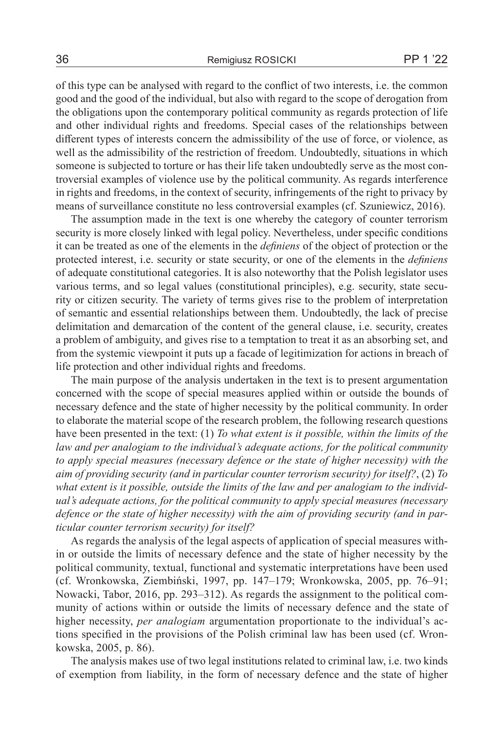of this type can be analysed with regard to the conflict of two interests, i.e. the common good and the good of the individual, but also with regard to the scope of derogation from the obligations upon the contemporary political community as regards protection of life and other individual rights and freedoms. Special cases of the relationships between different types of interests concern the admissibility of the use of force, or violence, as well as the admissibility of the restriction of freedom. Undoubtedly, situations in which someone is subjected to torture or has their life taken undoubtedly serve as the most controversial examples of violence use by the political community. As regards interference in rights and freedoms, in the context of security, infringements of the right to privacy by means of surveillance constitute no less controversial examples (cf. Szuniewicz, 2016).

The assumption made in the text is one whereby the category of counter terrorism security is more closely linked with legal policy. Nevertheless, under specific conditions it can be treated as one of the elements in the *definiens* of the object of protection or the protected interest, i.e. security or state security, or one of the elements in the *definiens* of adequate constitutional categories. It is also noteworthy that the Polish legislator uses various terms, and so legal values (constitutional principles), e.g. security, state security or citizen security. The variety of terms gives rise to the problem of interpretation of semantic and essential relationships between them. Undoubtedly, the lack of precise delimitation and demarcation of the content of the general clause, i.e. security, creates a problem of ambiguity, and gives rise to a temptation to treat it as an absorbing set, and from the systemic viewpoint it puts up a facade of legitimization for actions in breach of life protection and other individual rights and freedoms.

The main purpose of the analysis undertaken in the text is to present argumentation concerned with the scope of special measures applied within or outside the bounds of necessary defence and the state of higher necessity by the political community. In order to elaborate the material scope of the research problem, the following research questions have been presented in the text: (1) *To what extent is it possible, within the limits of the law and per analogiam to the individual's adequate actions, for the political community to apply special measures (necessary defence or the state of higher necessity) with the aim of providing security (and in particular counter terrorism security) for itself?*, (2) *To what extent is it possible, outside the limits of the law and per analogiam to the individual's adequate actions, for the political community to apply special measures (necessary defence or the state of higher necessity) with the aim of providing security (and in particular counter terrorism security) for itself?*

As regards the analysis of the legal aspects of application of special measures within or outside the limits of necessary defence and the state of higher necessity by the political community, textual, functional and systematic interpretations have been used (cf. Wronkowska, Ziembiński, 1997, pp. 147–179; Wronkowska, 2005, pp. 76–91; Nowacki, Tabor, 2016, pp. 293–312). As regards the assignment to the political community of actions within or outside the limits of necessary defence and the state of higher necessity, *per analogiam* argumentation proportionate to the individual's actions specified in the provisions of the Polish criminal law has been used (cf. Wronkowska, 2005, p. 86).

The analysis makes use of two legal institutions related to criminal law, i.e. two kinds of exemption from liability, in the form of necessary defence and the state of higher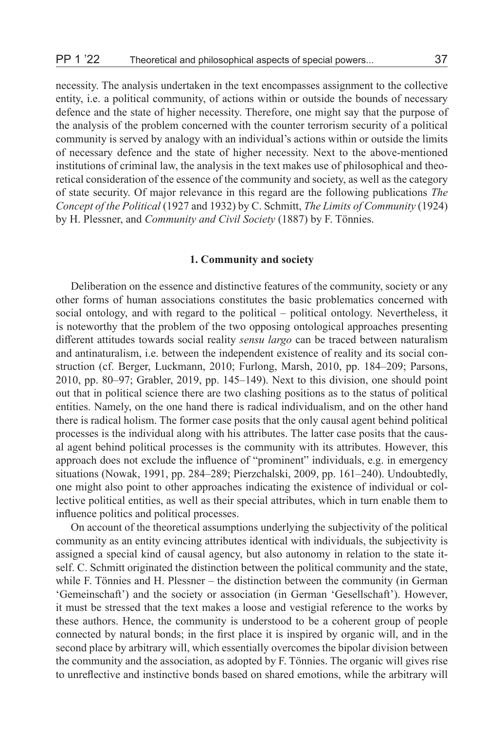necessity. The analysis undertaken in the text encompasses assignment to the collective entity, i.e. a political community, of actions within or outside the bounds of necessary defence and the state of higher necessity. Therefore, one might say that the purpose of the analysis of the problem concerned with the counter terrorism security of a political community is served by analogy with an individual's actions within or outside the limits of necessary defence and the state of higher necessity. Next to the above-mentioned institutions of criminal law, the analysis in the text makes use of philosophical and theoretical consideration of the essence of the community and society, as well as the category of state security. Of major relevance in this regard are the following publications *The Concept of the Political* (1927 and 1932) by C. Schmitt, *The Limits of Community* (1924) by H. Plessner, and *Community and Civil Society* (1887) by F. Tönnies.

#### **1. Community and society**

Deliberation on the essence and distinctive features of the community, society or any other forms of human associations constitutes the basic problematics concerned with social ontology, and with regard to the political – political ontology. Nevertheless, it is noteworthy that the problem of the two opposing ontological approaches presenting different attitudes towards social reality *sensu largo* can be traced between naturalism and antinaturalism, i.e. between the independent existence of reality and its social construction (cf. Berger, Luckmann, 2010; Furlong, Marsh, 2010, pp. 184–209; Parsons, 2010, pp. 80–97; Grabler, 2019, pp. 145–149). Next to this division, one should point out that in political science there are two clashing positions as to the status of political entities. Namely, on the one hand there is radical individualism, and on the other hand there is radical holism. The former case posits that the only causal agent behind political processes is the individual along with his attributes. The latter case posits that the causal agent behind political processes is the community with its attributes. However, this approach does not exclude the influence of "prominent" individuals, e.g. in emergency situations (Nowak, 1991, pp. 284–289; Pierzchalski, 2009, pp. 161–240). Undoubtedly, one might also point to other approaches indicating the existence of individual or collective political entities, as well as their special attributes, which in turn enable them to influence politics and political processes.

On account of the theoretical assumptions underlying the subjectivity of the political community as an entity evincing attributes identical with individuals, the subjectivity is assigned a special kind of causal agency, but also autonomy in relation to the state itself. C. Schmitt originated the distinction between the political community and the state, while F. Tönnies and H. Plessner – the distinction between the community (in German 'Gemeinschaft') and the society or association (in German 'Gesellschaft'). However, it must be stressed that the text makes a loose and vestigial reference to the works by these authors. Hence, the community is understood to be a coherent group of people connected by natural bonds; in the first place it is inspired by organic will, and in the second place by arbitrary will, which essentially overcomes the bipolar division between the community and the association, as adopted by F. Tönnies. The organic will gives rise to unreflective and instinctive bonds based on shared emotions, while the arbitrary will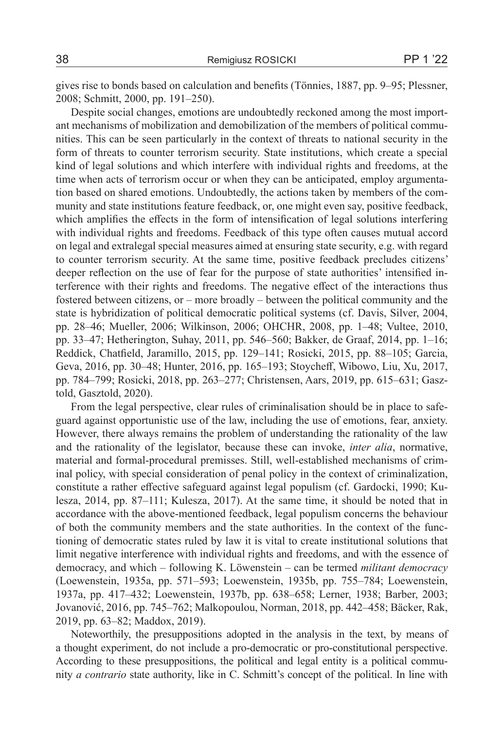gives rise to bonds based on calculation and benefits (Tönnies, 1887, pp. 9–95; Plessner, 2008; Schmitt, 2000, pp. 191–250).

Despite social changes, emotions are undoubtedly reckoned among the most important mechanisms of mobilization and demobilization of the members of political communities. This can be seen particularly in the context of threats to national security in the form of threats to counter terrorism security. State institutions, which create a special kind of legal solutions and which interfere with individual rights and freedoms, at the time when acts of terrorism occur or when they can be anticipated, employ argumentation based on shared emotions. Undoubtedly, the actions taken by members of the community and state institutions feature feedback, or, one might even say, positive feedback, which amplifies the effects in the form of intensification of legal solutions interfering with individual rights and freedoms. Feedback of this type often causes mutual accord on legal and extralegal special measures aimed at ensuring state security, e.g. with regard to counter terrorism security. At the same time, positive feedback precludes citizens' deeper reflection on the use of fear for the purpose of state authorities' intensified interference with their rights and freedoms. The negative effect of the interactions thus fostered between citizens, or – more broadly – between the political community and the state is hybridization of political democratic political systems (cf. Davis, Silver, 2004, pp. 28–46; Mueller, 2006; Wilkinson, 2006; OHCHR, 2008, pp. 1–48; Vultee, 2010, pp. 33–47; Hetherington, Suhay, 2011, pp. 546–560; Bakker, de Graaf, 2014, pp. 1–16; Reddick, Chatfield, Jaramillo, 2015, pp. 129–141; Rosicki, 2015, pp. 88–105; Garcia, Geva, 2016, pp. 30–48; Hunter, 2016, pp. 165–193; Stoycheff, Wibowo, Liu, Xu, 2017, pp. 784–799; Rosicki, 2018, pp. 263–277; Christensen, Aars, 2019, pp. 615–631; Gasztold, Gasztold, 2020).

From the legal perspective, clear rules of criminalisation should be in place to safeguard against opportunistic use of the law, including the use of emotions, fear, anxiety. However, there always remains the problem of understanding the rationality of the law and the rationality of the legislator, because these can invoke, *inter alia*, normative, material and formal-procedural premisses. Still, well-established mechanisms of criminal policy, with special consideration of penal policy in the context of criminalization, constitute a rather effective safeguard against legal populism (cf. Gardocki, 1990; Kulesza, 2014, pp. 87–111; Kulesza, 2017). At the same time, it should be noted that in accordance with the above-mentioned feedback, legal populism concerns the behaviour of both the community members and the state authorities. In the context of the functioning of democratic states ruled by law it is vital to create institutional solutions that limit negative interference with individual rights and freedoms, and with the essence of democracy, and which – following K. Löwenstein – can be termed *militant democracy* (Loewenstein, 1935a, pp. 571–593; Loewenstein, 1935b, pp. 755–784; Loewenstein, 1937a, pp. 417–432; Loewenstein, 1937b, pp. 638–658; Lerner, 1938; Barber, 2003; Jovanović, 2016, pp. 745–762; Malkopoulou, Norman, 2018, pp. 442–458; Bäcker, Rak, 2019, pp. 63–82; Maddox, 2019).

Noteworthily, the presuppositions adopted in the analysis in the text, by means of a thought experiment, do not include a pro-democratic or pro-constitutional perspective. According to these presuppositions, the political and legal entity is a political community *a contrario* state authority, like in C. Schmitt's concept of the political. In line with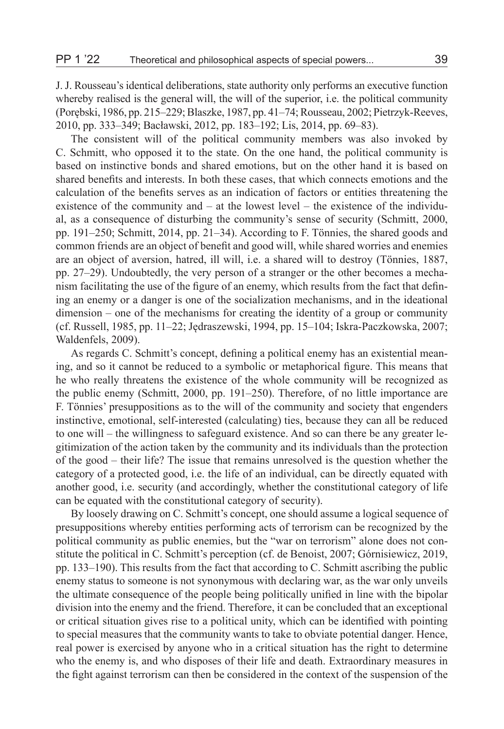J. J. Rousseau's identical deliberations, state authority only performs an executive function whereby realised is the general will, the will of the superior, i.e. the political community (Porębski, 1986, pp. 215–229; Blaszke, 1987, pp. 41–74; Rousseau, 2002; Pietrzyk-Reeves, 2010, pp. 333–349; Bacławski, 2012, pp. 183–192; Lis, 2014, pp. 69–83).

The consistent will of the political community members was also invoked by C. Schmitt, who opposed it to the state. On the one hand, the political community is based on instinctive bonds and shared emotions, but on the other hand it is based on shared benefits and interests. In both these cases, that which connects emotions and the calculation of the benefits serves as an indication of factors or entities threatening the existence of the community and  $-$  at the lowest level  $-$  the existence of the individual, as a consequence of disturbing the community's sense of security (Schmitt, 2000, pp. 191–250; Schmitt, 2014, pp. 21–34). According to F. Tönnies, the shared goods and common friends are an object of benefit and good will, while shared worries and enemies are an object of aversion, hatred, ill will, i.e. a shared will to destroy (Tönnies, 1887, pp. 27–29). Undoubtedly, the very person of a stranger or the other becomes a mechanism facilitating the use of the figure of an enemy, which results from the fact that defining an enemy or a danger is one of the socialization mechanisms, and in the ideational dimension – one of the mechanisms for creating the identity of a group or community (cf. Russell, 1985, pp. 11–22; Jędraszewski, 1994, pp. 15–104; Iskra-Paczkowska, 2007; Waldenfels, 2009).

As regards C. Schmitt's concept, defining a political enemy has an existential meaning, and so it cannot be reduced to a symbolic or metaphorical figure. This means that he who really threatens the existence of the whole community will be recognized as the public enemy (Schmitt, 2000, pp. 191–250). Therefore, of no little importance are F. Tönnies' presuppositions as to the will of the community and society that engenders instinctive, emotional, self-interested (calculating) ties, because they can all be reduced to one will – the willingness to safeguard existence. And so can there be any greater legitimization of the action taken by the community and its individuals than the protection of the good – their life? The issue that remains unresolved is the question whether the category of a protected good, i.e. the life of an individual, can be directly equated with another good, i.e. security (and accordingly, whether the constitutional category of life can be equated with the constitutional category of security).

By loosely drawing on C. Schmitt's concept, one should assume a logical sequence of presuppositions whereby entities performing acts of terrorism can be recognized by the political community as public enemies, but the "war on terrorism" alone does not constitute the political in C. Schmitt's perception (cf. de Benoist, 2007; Górnisiewicz, 2019, pp. 133–190). This results from the fact that according to C. Schmitt ascribing the public enemy status to someone is not synonymous with declaring war, as the war only unveils the ultimate consequence of the people being politically unified in line with the bipolar division into the enemy and the friend. Therefore, it can be concluded that an exceptional or critical situation gives rise to a political unity, which can be identified with pointing to special measures that the community wants to take to obviate potential danger. Hence, real power is exercised by anyone who in a critical situation has the right to determine who the enemy is, and who disposes of their life and death. Extraordinary measures in the fight against terrorism can then be considered in the context of the suspension of the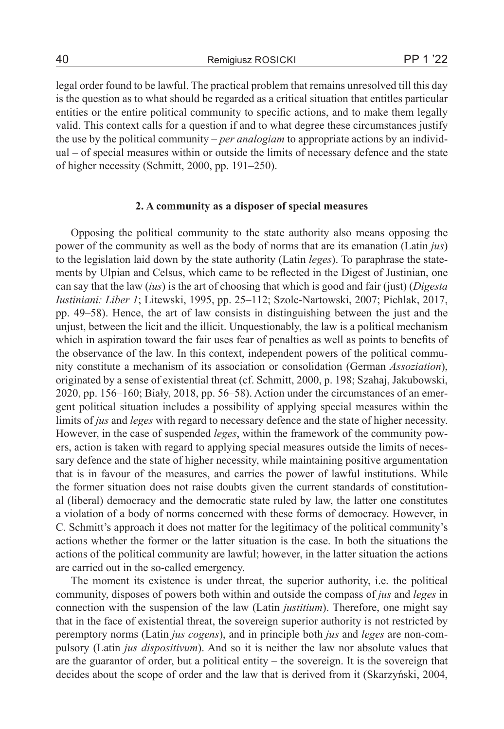40 Remigiusz ROSICKI PP 1 '22

legal order found to be lawful. The practical problem that remains unresolved till this day is the question as to what should be regarded as a critical situation that entitles particular entities or the entire political community to specific actions, and to make them legally valid. This context calls for a question if and to what degree these circumstances justify the use by the political community – *per analogiam* to appropriate actions by an individual – of special measures within or outside the limits of necessary defence and the state of higher necessity (Schmitt, 2000, pp. 191–250).

## **2. A community as a disposer of special measures**

Opposing the political community to the state authority also means opposing the power of the community as well as the body of norms that are its emanation (Latin *jus*) to the legislation laid down by the state authority (Latin *leges*). To paraphrase the statements by Ulpian and Celsus, which came to be reflected in the Digest of Justinian, one can say that the law (*ius*) is the art of choosing that which is good and fair (just) (*Digesta Iustiniani: Liber 1*; Litewski, 1995, pp. 25–112; Szolc-Nartowski, 2007; Pichlak, 2017, pp. 49–58). Hence, the art of law consists in distinguishing between the just and the unjust, between the licit and the illicit. Unquestionably, the law is a political mechanism which in aspiration toward the fair uses fear of penalties as well as points to benefits of the observance of the law. In this context, independent powers of the political community constitute a mechanism of its association or consolidation (German *Assoziation*), originated by a sense of existential threat (cf. Schmitt, 2000, p. 198; Szahaj, Jakubowski, 2020, pp. 156–160; Biały, 2018, pp. 56–58). Action under the circumstances of an emergent political situation includes a possibility of applying special measures within the limits of *jus* and *leges* with regard to necessary defence and the state of higher necessity. However, in the case of suspended *leges*, within the framework of the community powers, action is taken with regard to applying special measures outside the limits of necessary defence and the state of higher necessity, while maintaining positive argumentation that is in favour of the measures, and carries the power of lawful institutions. While the former situation does not raise doubts given the current standards of constitutional (liberal) democracy and the democratic state ruled by law, the latter one constitutes a violation of a body of norms concerned with these forms of democracy. However, in C. Schmitt's approach it does not matter for the legitimacy of the political community's actions whether the former or the latter situation is the case. In both the situations the actions of the political community are lawful; however, in the latter situation the actions are carried out in the so-called emergency.

The moment its existence is under threat, the superior authority, i.e. the political community, disposes of powers both within and outside the compass of *jus* and *leges* in connection with the suspension of the law (Latin *justitium*). Therefore, one might say that in the face of existential threat, the sovereign superior authority is not restricted by peremptory norms (Latin *jus cogens*), and in principle both *jus* and *leges* are non-compulsory (Latin *jus dispositivum*). And so it is neither the law nor absolute values that are the guarantor of order, but a political entity – the sovereign. It is the sovereign that decides about the scope of order and the law that is derived from it (Skarzyński, 2004,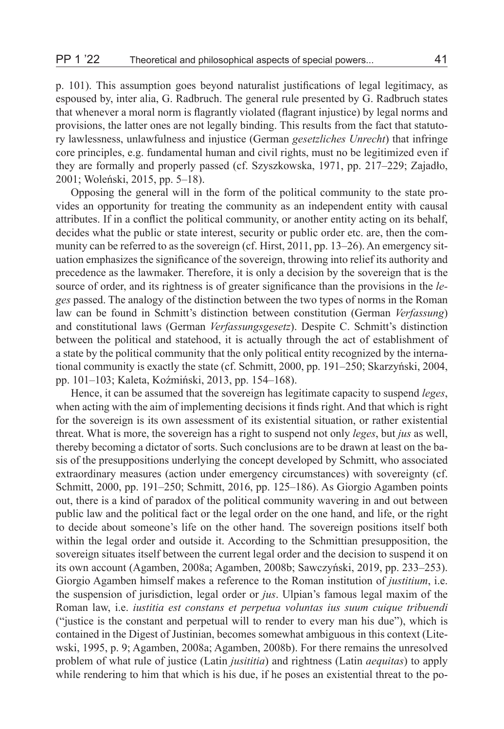p. 101). This assumption goes beyond naturalist justifications of legal legitimacy, as espoused by, inter alia, G. Radbruch. The general rule presented by G. Radbruch states that whenever a moral norm is flagrantly violated (flagrant injustice) by legal norms and provisions, the latter ones are not legally binding. This results from the fact that statutory lawlessness, unlawfulness and injustice (German *gesetzliches Unrecht*) that infringe core principles, e.g. fundamental human and civil rights, must no be legitimized even if they are formally and properly passed (cf. Szyszkowska, 1971, pp. 217–229; Zajadło, 2001; Woleński, 2015, pp. 5–18).

Opposing the general will in the form of the political community to the state provides an opportunity for treating the community as an independent entity with causal attributes. If in a conflict the political community, or another entity acting on its behalf, decides what the public or state interest, security or public order etc. are, then the community can be referred to as the sovereign (cf. Hirst, 2011, pp. 13–26). An emergency situation emphasizes the significance of the sovereign, throwing into relief its authority and precedence as the lawmaker. Therefore, it is only a decision by the sovereign that is the source of order, and its rightness is of greater significance than the provisions in the *leges* passed. The analogy of the distinction between the two types of norms in the Roman law can be found in Schmitt's distinction between constitution (German *Verfassung*) and constitutional laws (German *Verfassungsgesetz*). Despite C. Schmitt's distinction between the political and statehood, it is actually through the act of establishment of a state by the political community that the only political entity recognized by the international community is exactly the state (cf. Schmitt, 2000, pp. 191–250; Skarzyński, 2004, pp. 101–103; Kaleta, Koźmiński, 2013, pp. 154–168).

Hence, it can be assumed that the sovereign has legitimate capacity to suspend *leges*, when acting with the aim of implementing decisions it finds right. And that which is right for the sovereign is its own assessment of its existential situation, or rather existential threat. What is more, the sovereign has a right to suspend not only *leges*, but *jus* as well, thereby becoming a dictator of sorts. Such conclusions are to be drawn at least on the basis of the presuppositions underlying the concept developed by Schmitt, who associated extraordinary measures (action under emergency circumstances) with sovereignty (cf. Schmitt, 2000, pp. 191–250; Schmitt, 2016, pp. 125–186). As Giorgio Agamben points out, there is a kind of paradox of the political community wavering in and out between public law and the political fact or the legal order on the one hand, and life, or the right to decide about someone's life on the other hand. The sovereign positions itself both within the legal order and outside it. According to the Schmittian presupposition, the sovereign situates itself between the current legal order and the decision to suspend it on its own account (Agamben, 2008a; Agamben, 2008b; Sawczyński, 2019, pp. 233–253). Giorgio Agamben himself makes a reference to the Roman institution of *justitium*, i.e. the suspension of jurisdiction, legal order or *jus*. Ulpian's famous legal maxim of the Roman law, i.e. *iustitia est constans et perpetua voluntas ius suum cuique tribuendi* ("justice is the constant and perpetual will to render to every man his due"), which is contained in the Digest of Justinian, becomes somewhat ambiguous in this context (Litewski, 1995, p. 9; Agamben, 2008a; Agamben, 2008b). For there remains the unresolved problem of what rule of justice (Latin *jusititia*) and rightness (Latin *aequitas*) to apply while rendering to him that which is his due, if he poses an existential threat to the po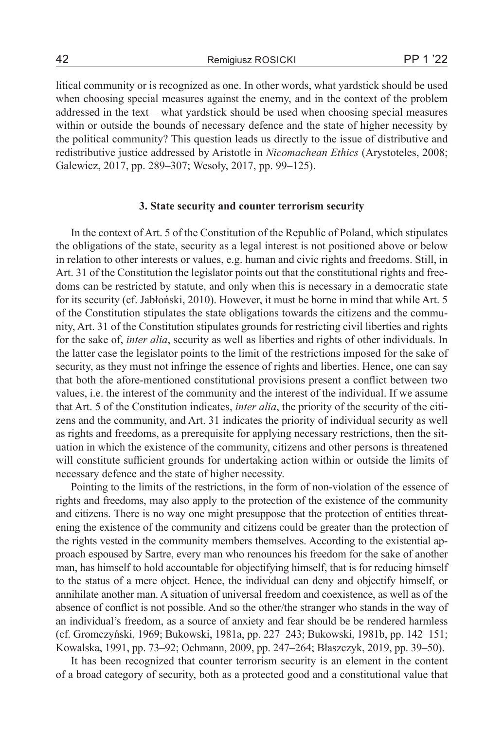litical community or is recognized as one. In other words, what yardstick should be used when choosing special measures against the enemy, and in the context of the problem addressed in the text – what yardstick should be used when choosing special measures within or outside the bounds of necessary defence and the state of higher necessity by the political community? This question leads us directly to the issue of distributive and redistributive justice addressed by Aristotle in *Nicomachean Ethics* (Arystoteles, 2008; Galewicz, 2017, pp. 289–307; Wesoły, 2017, pp. 99–125).

## **3. State security and counter terrorism security**

In the context of Art. 5 of the Constitution of the Republic of Poland, which stipulates the obligations of the state, security as a legal interest is not positioned above or below in relation to other interests or values, e.g. human and civic rights and freedoms. Still, in Art. 31 of the Constitution the legislator points out that the constitutional rights and freedoms can be restricted by statute, and only when this is necessary in a democratic state for its security (cf. Jabłoński, 2010). However, it must be borne in mind that while Art. 5 of the Constitution stipulates the state obligations towards the citizens and the community, Art. 31 of the Constitution stipulates grounds for restricting civil liberties and rights for the sake of, *inter alia*, security as well as liberties and rights of other individuals. In the latter case the legislator points to the limit of the restrictions imposed for the sake of security, as they must not infringe the essence of rights and liberties. Hence, one can say that both the afore-mentioned constitutional provisions present a conflict between two values, i.e. the interest of the community and the interest of the individual. If we assume that Art. 5 of the Constitution indicates, *inter alia*, the priority of the security of the citizens and the community, and Art. 31 indicates the priority of individual security as well as rights and freedoms, as a prerequisite for applying necessary restrictions, then the situation in which the existence of the community, citizens and other persons is threatened will constitute sufficient grounds for undertaking action within or outside the limits of necessary defence and the state of higher necessity.

Pointing to the limits of the restrictions, in the form of non-violation of the essence of rights and freedoms, may also apply to the protection of the existence of the community and citizens. There is no way one might presuppose that the protection of entities threatening the existence of the community and citizens could be greater than the protection of the rights vested in the community members themselves. According to the existential approach espoused by Sartre, every man who renounces his freedom for the sake of another man, has himself to hold accountable for objectifying himself, that is for reducing himself to the status of a mere object. Hence, the individual can deny and objectify himself, or annihilate another man. A situation of universal freedom and coexistence, as well as of the absence of conflict is not possible. And so the other/the stranger who stands in the way of an individual's freedom, as a source of anxiety and fear should be be rendered harmless (cf. Gromczyński, 1969; Bukowski, 1981a, pp. 227–243; Bukowski, 1981b, pp. 142–151; Kowalska, 1991, pp. 73–92; Ochmann, 2009, pp. 247–264; Błaszczyk, 2019, pp. 39–50).

It has been recognized that counter terrorism security is an element in the content of a broad category of security, both as a protected good and a constitutional value that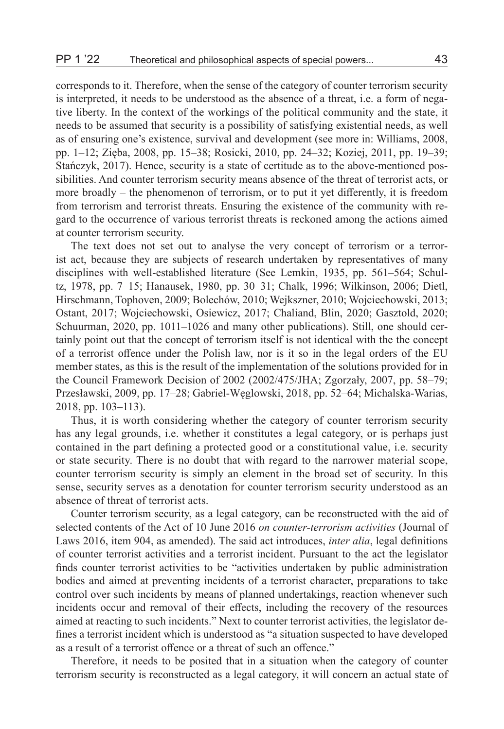corresponds to it. Therefore, when the sense of the category of counter terrorism security is interpreted, it needs to be understood as the absence of a threat, i.e. a form of negative liberty. In the context of the workings of the political community and the state, it needs to be assumed that security is a possibility of satisfying existential needs, as well as of ensuring one's existence, survival and development (see more in: Williams, 2008, pp. 1–12; Zięba, 2008, pp. 15–38; Rosicki, 2010, pp. 24–32; Koziej, 2011, pp. 19–39; Stańczyk, 2017). Hence, security is a state of certitude as to the above-mentioned possibilities. And counter terrorism security means absence of the threat of terrorist acts, or more broadly – the phenomenon of terrorism, or to put it yet differently, it is freedom from terrorism and terrorist threats. Ensuring the existence of the community with regard to the occurrence of various terrorist threats is reckoned among the actions aimed at counter terrorism security.

The text does not set out to analyse the very concept of terrorism or a terrorist act, because they are subjects of research undertaken by representatives of many disciplines with well-established literature (See Lemkin, 1935, pp. 561–564; Schultz, 1978, pp. 7–15; Hanausek, 1980, pp. 30–31; Chalk, 1996; Wilkinson, 2006; Dietl, Hirschmann, Tophoven, 2009; Bolechów, 2010; Wejkszner, 2010; Wojciechowski, 2013; Ostant, 2017; Wojciechowski, Osiewicz, 2017; Chaliand, Blin, 2020; Gasztold, 2020; Schuurman, 2020, pp. 1011–1026 and many other publications). Still, one should certainly point out that the concept of terrorism itself is not identical with the the concept of a terrorist offence under the Polish law, nor is it so in the legal orders of the EU member states, as this is the result of the implementation of the solutions provided for in the Council Framework Decision of 2002 (2002/475/JHA; Zgorzały, 2007, pp. 58–79; Przesławski, 2009, pp. 17–28; Gabriel-Węglowski, 2018, pp. 52–64; Michalska-Warias, 2018, pp. 103–113).

Thus, it is worth considering whether the category of counter terrorism security has any legal grounds, i.e. whether it constitutes a legal category, or is perhaps just contained in the part defining a protected good or a constitutional value, i.e. security or state security. There is no doubt that with regard to the narrower material scope, counter terrorism security is simply an element in the broad set of security. In this sense, security serves as a denotation for counter terrorism security understood as an absence of threat of terrorist acts.

Counter terrorism security, as a legal category, can be reconstructed with the aid of selected contents of the Act of 10 June 2016 *on counter-terrorism activities* (Journal of Laws 2016, item 904, as amended). The said act introduces, *inter alia*, legal definitions of counter terrorist activities and a terrorist incident. Pursuant to the act the legislator finds counter terrorist activities to be "activities undertaken by public administration bodies and aimed at preventing incidents of a terrorist character, preparations to take control over such incidents by means of planned undertakings, reaction whenever such incidents occur and removal of their effects, including the recovery of the resources aimed at reacting to such incidents." Next to counter terrorist activities, the legislator defines a terrorist incident which is understood as "a situation suspected to have developed as a result of a terrorist offence or a threat of such an offence."

Therefore, it needs to be posited that in a situation when the category of counter terrorism security is reconstructed as a legal category, it will concern an actual state of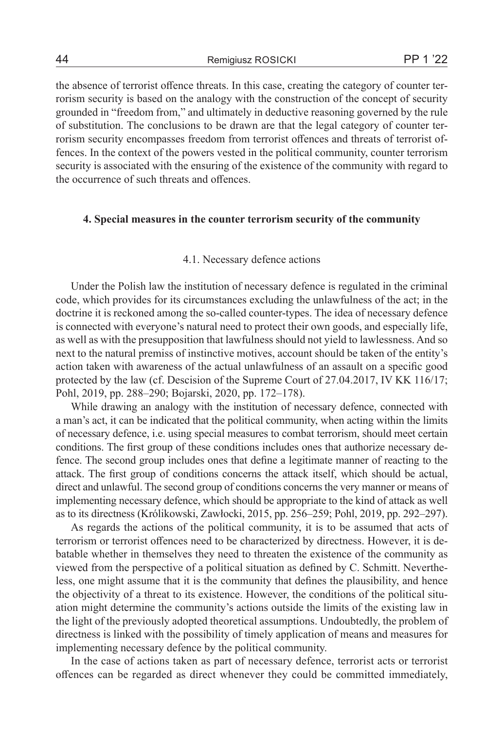the absence of terrorist offence threats. In this case, creating the category of counter terrorism security is based on the analogy with the construction of the concept of security grounded in "freedom from," and ultimately in deductive reasoning governed by the rule of substitution. The conclusions to be drawn are that the legal category of counter terrorism security encompasses freedom from terrorist offences and threats of terrorist offences. In the context of the powers vested in the political community, counter terrorism security is associated with the ensuring of the existence of the community with regard to the occurrence of such threats and offences.

## **4. Special measures in the counter terrorism security of the community**

#### 4.1. Necessary defence actions

Under the Polish law the institution of necessary defence is regulated in the criminal code, which provides for its circumstances excluding the unlawfulness of the act; in the doctrine it is reckoned among the so-called counter-types. The idea of necessary defence is connected with everyone's natural need to protect their own goods, and especially life, as well as with the presupposition that lawfulness should not yield to lawlessness. And so next to the natural premiss of instinctive motives, account should be taken of the entity's action taken with awareness of the actual unlawfulness of an assault on a specific good protected by the law (cf. Descision of the Supreme Court of 27.04.2017, IV KK 116/17; Pohl, 2019, pp. 288–290; Bojarski, 2020, pp. 172–178).

While drawing an analogy with the institution of necessary defence, connected with a man's act, it can be indicated that the political community, when acting within the limits of necessary defence, i.e. using special measures to combat terrorism, should meet certain conditions. The first group of these conditions includes ones that authorize necessary defence. The second group includes ones that define a legitimate manner of reacting to the attack. The first group of conditions concerns the attack itself, which should be actual, direct and unlawful. The second group of conditions concerns the very manner or means of implementing necessary defence, which should be appropriate to the kind of attack as well as to its directness (Królikowski, Zawłocki, 2015, pp. 256–259; Pohl, 2019, pp. 292–297).

As regards the actions of the political community, it is to be assumed that acts of terrorism or terrorist offences need to be characterized by directness. However, it is debatable whether in themselves they need to threaten the existence of the community as viewed from the perspective of a political situation as defined by C. Schmitt. Nevertheless, one might assume that it is the community that defines the plausibility, and hence the objectivity of a threat to its existence. However, the conditions of the political situation might determine the community's actions outside the limits of the existing law in the light of the previously adopted theoretical assumptions. Undoubtedly, the problem of directness is linked with the possibility of timely application of means and measures for implementing necessary defence by the political community.

In the case of actions taken as part of necessary defence, terrorist acts or terrorist offences can be regarded as direct whenever they could be committed immediately,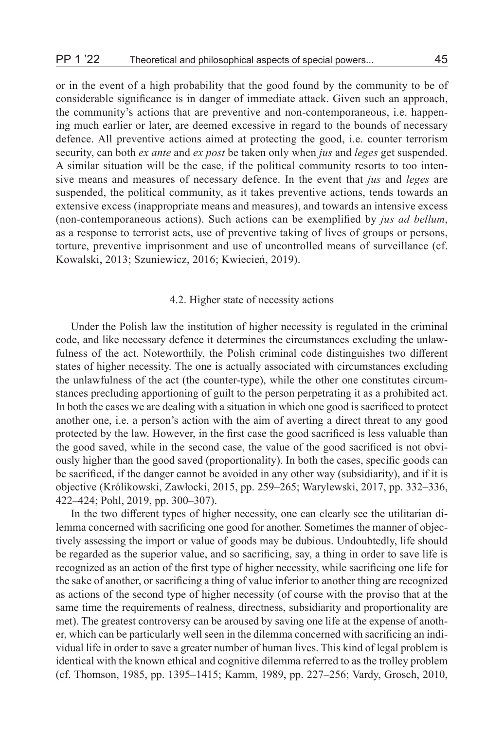or in the event of a high probability that the good found by the community to be of considerable significance is in danger of immediate attack. Given such an approach, the community's actions that are preventive and non-contemporaneous, i.e. happening much earlier or later, are deemed excessive in regard to the bounds of necessary defence. All preventive actions aimed at protecting the good, i.e. counter terrorism security, can both *ex ante* and *ex post* be taken only when *jus* and *leges* get suspended. A similar situation will be the case, if the political community resorts to too intensive means and measures of necessary defence. In the event that *jus* and *leges* are suspended, the political community, as it takes preventive actions, tends towards an extensive excess (inappropriate means and measures), and towards an intensive excess (non-contemporaneous actions). Such actions can be exemplified by *jus ad bellum*, as a response to terrorist acts, use of preventive taking of lives of groups or persons, torture, preventive imprisonment and use of uncontrolled means of surveillance (cf. Kowalski, 2013; Szuniewicz, 2016; Kwiecień, 2019).

#### 4.2. Higher state of necessity actions

Under the Polish law the institution of higher necessity is regulated in the criminal code, and like necessary defence it determines the circumstances excluding the unlawfulness of the act. Noteworthily, the Polish criminal code distinguishes two different states of higher necessity. The one is actually associated with circumstances excluding the unlawfulness of the act (the counter-type), while the other one constitutes circumstances precluding apportioning of guilt to the person perpetrating it as a prohibited act. In both the cases we are dealing with a situation in which one good is sacrificed to protect another one, i.e. a person's action with the aim of averting a direct threat to any good protected by the law. However, in the first case the good sacrificed is less valuable than the good saved, while in the second case, the value of the good sacrificed is not obviously higher than the good saved (proportionality). In both the cases, specific goods can be sacrificed, if the danger cannot be avoided in any other way (subsidiarity), and if it is objective (Królikowski, Zawłocki, 2015, pp. 259–265; Warylewski, 2017, pp. 332–336, 422–424; Pohl, 2019, pp. 300–307).

In the two different types of higher necessity, one can clearly see the utilitarian dilemma concerned with sacrificing one good for another. Sometimes the manner of objectively assessing the import or value of goods may be dubious. Undoubtedly, life should be regarded as the superior value, and so sacrificing, say, a thing in order to save life is recognized as an action of the first type of higher necessity, while sacrificing one life for the sake of another, or sacrificing a thing of value inferior to another thing are recognized as actions of the second type of higher necessity (of course with the proviso that at the same time the requirements of realness, directness, subsidiarity and proportionality are met). The greatest controversy can be aroused by saving one life at the expense of another, which can be particularly well seen in the dilemma concerned with sacrificing an individual life in order to save a greater number of human lives. This kind of legal problem is identical with the known ethical and cognitive dilemma referred to as the trolley problem (cf. Thomson, 1985, pp. 1395–1415; Kamm, 1989, pp. 227–256; Vardy, Grosch, 2010,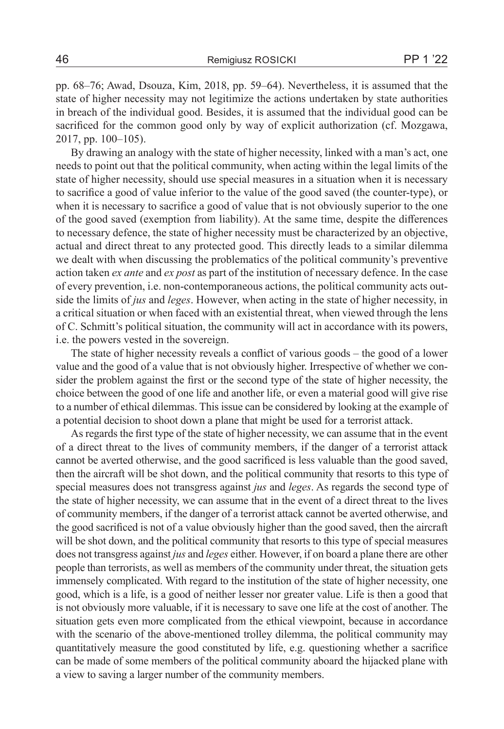pp. 68–76; Awad, Dsouza, Kim, 2018, pp. 59–64). Nevertheless, it is assumed that the state of higher necessity may not legitimize the actions undertaken by state authorities in breach of the individual good. Besides, it is assumed that the individual good can be sacrificed for the common good only by way of explicit authorization (cf. Mozgawa, 2017, pp. 100–105).

By drawing an analogy with the state of higher necessity, linked with a man's act, one needs to point out that the political community, when acting within the legal limits of the state of higher necessity, should use special measures in a situation when it is necessary to sacrifice a good of value inferior to the value of the good saved (the counter-type), or when it is necessary to sacrifice a good of value that is not obviously superior to the one of the good saved (exemption from liability). At the same time, despite the differences to necessary defence, the state of higher necessity must be characterized by an objective, actual and direct threat to any protected good. This directly leads to a similar dilemma we dealt with when discussing the problematics of the political community's preventive action taken *ex ante* and *ex post* as part of the institution of necessary defence. In the case of every prevention, i.e. non-contemporaneous actions, the political community acts outside the limits of *jus* and *leges*. However, when acting in the state of higher necessity, in a critical situation or when faced with an existential threat, when viewed through the lens of C. Schmitt's political situation, the community will act in accordance with its powers, i.e. the powers vested in the sovereign.

The state of higher necessity reveals a conflict of various goods – the good of a lower value and the good of a value that is not obviously higher. Irrespective of whether we consider the problem against the first or the second type of the state of higher necessity, the choice between the good of one life and another life, or even a material good will give rise to a number of ethical dilemmas. This issue can be considered by looking at the example of a potential decision to shoot down a plane that might be used for a terrorist attack.

As regards the first type of the state of higher necessity, we can assume that in the event of a direct threat to the lives of community members, if the danger of a terrorist attack cannot be averted otherwise, and the good sacrificed is less valuable than the good saved, then the aircraft will be shot down, and the political community that resorts to this type of special measures does not transgress against *jus* and *leges*. As regards the second type of the state of higher necessity, we can assume that in the event of a direct threat to the lives of community members, if the danger of a terrorist attack cannot be averted otherwise, and the good sacrificed is not of a value obviously higher than the good saved, then the aircraft will be shot down, and the political community that resorts to this type of special measures does not transgress against *jus* and *leges* either. However, if on board a plane there are other people than terrorists, as well as members of the community under threat, the situation gets immensely complicated. With regard to the institution of the state of higher necessity, one good, which is a life, is a good of neither lesser nor greater value. Life is then a good that is not obviously more valuable, if it is necessary to save one life at the cost of another. The situation gets even more complicated from the ethical viewpoint, because in accordance with the scenario of the above-mentioned trolley dilemma, the political community may quantitatively measure the good constituted by life, e.g. questioning whether a sacrifice can be made of some members of the political community aboard the hijacked plane with a view to saving a larger number of the community members.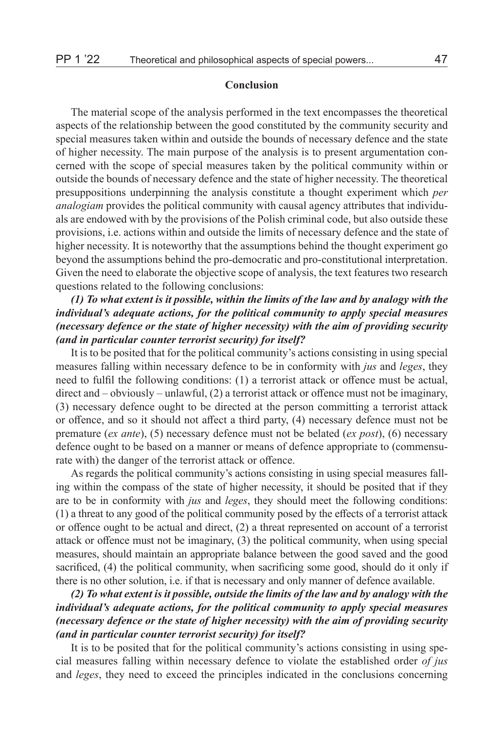## **Conclusion**

The material scope of the analysis performed in the text encompasses the theoretical aspects of the relationship between the good constituted by the community security and special measures taken within and outside the bounds of necessary defence and the state of higher necessity. The main purpose of the analysis is to present argumentation concerned with the scope of special measures taken by the political community within or outside the bounds of necessary defence and the state of higher necessity. The theoretical presuppositions underpinning the analysis constitute a thought experiment which *per analogiam* provides the political community with causal agency attributes that individuals are endowed with by the provisions of the Polish criminal code, but also outside these provisions, i.e. actions within and outside the limits of necessary defence and the state of higher necessity. It is noteworthy that the assumptions behind the thought experiment go beyond the assumptions behind the pro-democratic and pro-constitutional interpretation. Given the need to elaborate the objective scope of analysis, the text features two research questions related to the following conclusions:

## *(1) To what extent is it possible, within the limits of the law and by analogy with the individual's adequate actions, for the political community to apply special measures (necessary defence or the state of higher necessity) with the aim of providing security (and in particular counter terrorist security) for itself?*

It is to be posited that for the political community's actions consisting in using special measures falling within necessary defence to be in conformity with *jus* and *leges*, they need to fulfil the following conditions: (1) a terrorist attack or offence must be actual, direct and – obviously – unlawful, (2) a terrorist attack or offence must not be imaginary, (3) necessary defence ought to be directed at the person committing a terrorist attack or offence, and so it should not affect a third party, (4) necessary defence must not be premature (*ex ante*), (5) necessary defence must not be belated (*ex post*), (6) necessary defence ought to be based on a manner or means of defence appropriate to (commensurate with) the danger of the terrorist attack or offence.

As regards the political community's actions consisting in using special measures falling within the compass of the state of higher necessity, it should be posited that if they are to be in conformity with *jus* and *leges*, they should meet the following conditions: (1) a threat to any good of the political community posed by the effects of a terrorist attack or offence ought to be actual and direct, (2) a threat represented on account of a terrorist attack or offence must not be imaginary, (3) the political community, when using special measures, should maintain an appropriate balance between the good saved and the good sacrificed, (4) the political community, when sacrificing some good, should do it only if there is no other solution, i.e. if that is necessary and only manner of defence available.

## *(2) To what extent is it possible, outside the limits of the law and by analogy with the individual's adequate actions, for the political community to apply special measures (necessary defence or the state of higher necessity) with the aim of providing security (and in particular counter terrorist security) for itself?*

It is to be posited that for the political community's actions consisting in using special measures falling within necessary defence to violate the established order *of jus* and *leges*, they need to exceed the principles indicated in the conclusions concerning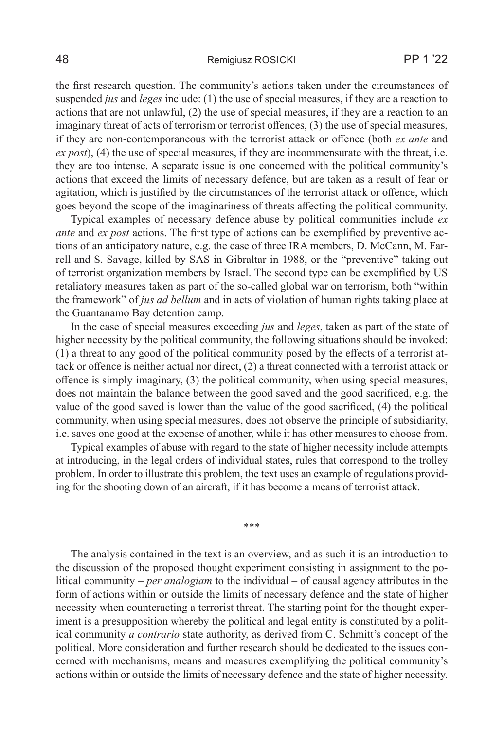the first research question. The community's actions taken under the circumstances of suspended *jus* and *leges* include: (1) the use of special measures, if they are a reaction to actions that are not unlawful, (2) the use of special measures, if they are a reaction to an imaginary threat of acts of terrorism or terrorist offences, (3) the use of special measures, if they are non-contemporaneous with the terrorist attack or offence (both *ex ante* and *ex post*), (4) the use of special measures, if they are incommensurate with the threat, i.e. they are too intense. A separate issue is one concerned with the political community's actions that exceed the limits of necessary defence, but are taken as a result of fear or agitation, which is justified by the circumstances of the terrorist attack or offence, which goes beyond the scope of the imaginariness of threats affecting the political community.

Typical examples of necessary defence abuse by political communities include *ex ante* and *ex post* actions. The first type of actions can be exemplified by preventive actions of an anticipatory nature, e.g. the case of three IRA members, D. McCann, M. Farrell and S. Savage, killed by SAS in Gibraltar in 1988, or the "preventive" taking out of terrorist organization members by Israel. The second type can be exemplified by US retaliatory measures taken as part of the so-called global war on terrorism, both "within the framework" of *jus ad bellum* and in acts of violation of human rights taking place at the Guantanamo Bay detention camp.

In the case of special measures exceeding *jus* and *leges*, taken as part of the state of higher necessity by the political community, the following situations should be invoked: (1) a threat to any good of the political community posed by the effects of a terrorist attack or offence is neither actual nor direct, (2) a threat connected with a terrorist attack or offence is simply imaginary, (3) the political community, when using special measures, does not maintain the balance between the good saved and the good sacrificed, e.g. the value of the good saved is lower than the value of the good sacrificed, (4) the political community, when using special measures, does not observe the principle of subsidiarity, i.e. saves one good at the expense of another, while it has other measures to choose from.

Typical examples of abuse with regard to the state of higher necessity include attempts at introducing, in the legal orders of individual states, rules that correspond to the trolley problem. In order to illustrate this problem, the text uses an example of regulations providing for the shooting down of an aircraft, if it has become a means of terrorist attack.

\*\*\*

The analysis contained in the text is an overview, and as such it is an introduction to the discussion of the proposed thought experiment consisting in assignment to the political community – *per analogiam* to the individual – of causal agency attributes in the form of actions within or outside the limits of necessary defence and the state of higher necessity when counteracting a terrorist threat. The starting point for the thought experiment is a presupposition whereby the political and legal entity is constituted by a political community *a contrario* state authority, as derived from C. Schmitt's concept of the political. More consideration and further research should be dedicated to the issues concerned with mechanisms, means and measures exemplifying the political community's actions within or outside the limits of necessary defence and the state of higher necessity.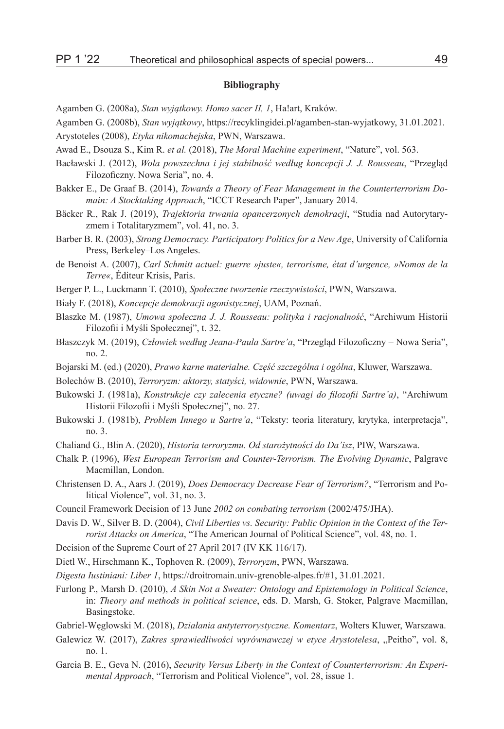#### **Bibliography**

Agamben G. (2008a), *Stan wyjątkowy. Homo sacer II, 1*, Ha!art, Kraków.

Agamben G. (2008b), *Stan wyjątkowy*, https://recyklingidei.pl/agamben-stan-wyjatkowy, 31.01.2021.

Arystoteles (2008), *Etyka nikomachejska*, PWN, Warszawa.

- Awad E., Dsouza S., Kim R. *et al.* (2018), *The Moral Machine experiment*, "Nature", vol. 563.
- Bacławski J. (2012), *Wola powszechna i jej stabilność według koncepcji J. J. Rousseau*, "Przegląd Filozoficzny. Nowa Seria", no. 4.
- Bakker E., De Graaf B. (2014), *Towards a Theory of Fear Management in the Counterterrorism Domain: A Stocktaking Approach*, "ICCT Research Paper", January 2014.
- Bäcker R., Rak J. (2019), *Trajektoria trwania opancerzonych demokracji*, "Studia nad Autorytaryzmem i Totalitaryzmem", vol. 41, no. 3.
- Barber B. R. (2003), *Strong Democracy. Participatory Politics for a New Age*, University of California Press, Berkeley–Los Angeles.
- de Benoist A. (2007), *Carl Schmitt actuel: guerre »juste«, terrorisme, état d'urgence, »Nomos de la Terre«*, Éditeur Krisis, Paris.
- Berger P. L., Luckmann T. (2010), *Społeczne tworzenie rzeczywistości*, PWN, Warszawa.
- Biały F. (2018), *Koncepcje demokracji agonistycznej*, UAM, Poznań.
- Blaszke M. (1987), *Umowa społeczna J. J. Rousseau: polityka i racjonalność*, "Archiwum Historii Filozofii i Myśli Społecznej", t. 32.
- Błaszczyk M. (2019), *Człowiek według Jeana-Paula Sartre'a*, "Przegląd Filozoficzny Nowa Seria", no. 2.
- Bojarski M. (ed.) (2020), *Prawo karne materialne. Część szczególna i ogólna*, Kluwer, Warszawa.
- Bolechów B. (2010), *Terroryzm: aktorzy, statyści, widownie*, PWN, Warszawa.
- Bukowski J. (1981a), *Konstrukcje czy zalecenia etyczne? (uwagi do filozofii Sartre'a)*, "Archiwum Historii Filozofii i Myśli Społecznej", no. 27.
- Bukowski J. (1981b), *Problem Innego u Sartre'a*, "Teksty: teoria literatury, krytyka, interpretacja", no. 3.
- Chaliand G., Blin A. (2020), *Historia terroryzmu. Od starożytności do Da'isz*, PIW, Warszawa.
- Chalk P. (1996), *West European Terrorism and Counter-Terrorism. The Evolving Dynamic*, Palgrave Macmillan, London.
- Christensen D. A., Aars J. (2019), *Does Democracy Decrease Fear of Terrorism?*, "Terrorism and Political Violence", vol. 31, no. 3.
- Council Framework Decision of 13 June *2002 on combating terrorism* (2002/475/JHA).
- Davis D. W., Silver B. D. (2004), *Civil Liberties vs. Security: Public Opinion in the Context of the Terrorist Attacks on America*, "The American Journal of Political Science", vol. 48, no. 1.
- Decision of the Supreme Court of 27 April 2017 (IV KK 116/17).
- Dietl W., Hirschmann K., Tophoven R. (2009), *Terroryzm*, PWN, Warszawa.
- *Digesta Iustiniani: Liber 1*, https://droitromain.univ-grenoble-alpes.fr/#1, 31.01.2021.
- Furlong P., Marsh D. (2010), *A Skin Not a Sweater: Ontology and Epistemology in Political Science*, in: *Theory and methods in political science*, eds. D. Marsh, G. Stoker, Palgrave Macmillan, Basingstoke.
- Gabriel-Węglowski M. (2018), *Działania antyterrorystyczne. Komentarz*, Wolters Kluwer, Warszawa.
- Galewicz W. (2017), *Zakres sprawiedliwości wyrównawczej w etyce Arystotelesa*, "Peitho", vol. 8, no. 1.
- Garcia B. E., Geva N. (2016), *Security Versus Liberty in the Context of Counterterrorism: An Experimental Approach*, "Terrorism and Political Violence", vol. 28, issue 1.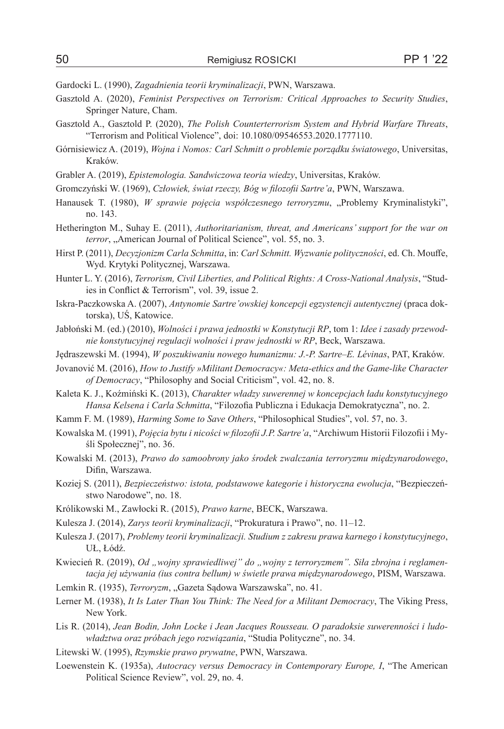Gardocki L. (1990), *Zagadnienia teorii kryminalizacji*, PWN, Warszawa.

- Gasztold A. (2020), *Feminist Perspectives on Terrorism: Critical Approaches to Security Studies*, Springer Nature, Cham.
- Gasztold A., Gasztold P. (2020), *The Polish Counterterrorism System and Hybrid Warfare Threats*, "Terrorism and Political Violence", doi: 10.1080/09546553.2020.1777110.
- Górnisiewicz A. (2019), *Wojna i Nomos: Carl Schmitt o problemie porządku światowego*, Universitas, Kraków.
- Grabler A. (2019), *Epistemologia. Sandwiczowa teoria wiedzy*, Universitas, Kraków.
- Gromczyński W. (1969), *Człowiek, świat rzeczy, Bóg w filozofii Sartre'a*, PWN, Warszawa.
- Hanausek T. (1980), *W sprawie pojęcia współczesnego terroryzmu*, "Problemy Kryminalistyki", no. 143.
- Hetherington M., Suhay E. (2011), *Authoritarianism, threat, and Americans' support for the war on terror*, "American Journal of Political Science", vol. 55, no. 3.
- Hirst P. (2011), *Decyzjonizm Carla Schmitta*, in: *Carl Schmitt. Wyzwanie polityczności*, ed. Ch. Mouffe, Wyd. Krytyki Politycznej, Warszawa.
- Hunter L. Y. (2016), *Terrorism, Civil Liberties, and Political Rights: A Cross-National Analysis*, "Studies in Conflict & Terrorism", vol. 39, issue 2.
- Iskra-Paczkowska A. (2007), *Antynomie Sartre'owskiej koncepcji egzystencji autentycznej* (praca doktorska), UŚ, Katowice.
- Jabłoński M. (ed.) (2010), *Wolności i prawa jednostki w Konstytucji RP*, tom 1: *Idee i zasady przewodnie konstytucyjnej regulacji wolności i praw jednostki w RP*, Beck, Warszawa.
- Jędraszewski M. (1994), *W poszukiwaniu nowego humanizmu: J.-P. Sartre–E. Lévinas*, PAT, Kraków.
- Jovanović M. (2016), *How to Justify »Militant Democracy«: Meta-ethics and the Game-like Character of Democracy*, "Philosophy and Social Criticism", vol. 42, no. 8.
- Kaleta K. J., Koźmiński K. (2013), *Charakter władzy suwerennej w koncepcjach ładu konstytucyjnego Hansa Kelsena i Carla Schmitta*, "Filozofia Publiczna i Edukacja Demokratyczna", no. 2.
- Kamm F. M. (1989), *Harming Some to Save Others*, "Philosophical Studies", vol. 57, no. 3.
- Kowalska M. (1991), *Pojęcia bytu i nicości w filozofii J.P. Sartre'a*, "Archiwum Historii Filozofii i Myśli Społecznej", no. 36.
- Kowalski M. (2013), *Prawo do samoobrony jako środek zwalczania terroryzmu międzynarodowego*, Difin, Warszawa.
- Koziej S. (2011), *Bezpieczeństwo: istota, podstawowe kategorie i historyczna ewolucja*, "Bezpieczeństwo Narodowe", no. 18.
- Królikowski M., Zawłocki R. (2015), *Prawo karne*, BECK, Warszawa.
- Kulesza J. (2014), *Zarys teorii kryminalizacji*, "Prokuratura i Prawo", no. 11–12.
- Kulesza J. (2017), *Problemy teorii kryminalizacji. Studium z zakresu prawa karnego i konstytucyjnego*, UŁ, Łódź.
- Kwiecień R. (2019), *Od "wojny sprawiedliwej" do "wojny z terroryzmem". Siła zbrojna i reglamentacja jej używania (ius contra bellum) w świetle prawa międzynarodowego*, PISM, Warszawa.
- Lemkin R. (1935), *Terroryzm*, "Gazeta Sądowa Warszawska", no. 41.
- Lerner M. (1938), *It Is Later Than You Think: The Need for a Militant Democracy*, The Viking Press, New York.
- Lis R. (2014), *Jean Bodin, John Locke i Jean Jacques Rousseau. O paradoksie suwerenności i ludowładztwa oraz próbach jego rozwiązania*, "Studia Polityczne", no. 34.
- Litewski W. (1995), *Rzymskie prawo prywatne*, PWN, Warszawa.
- Loewenstein K. (1935a), *Autocracy versus Democracy in Contemporary Europe, I*, "The American Political Science Review", vol. 29, no. 4.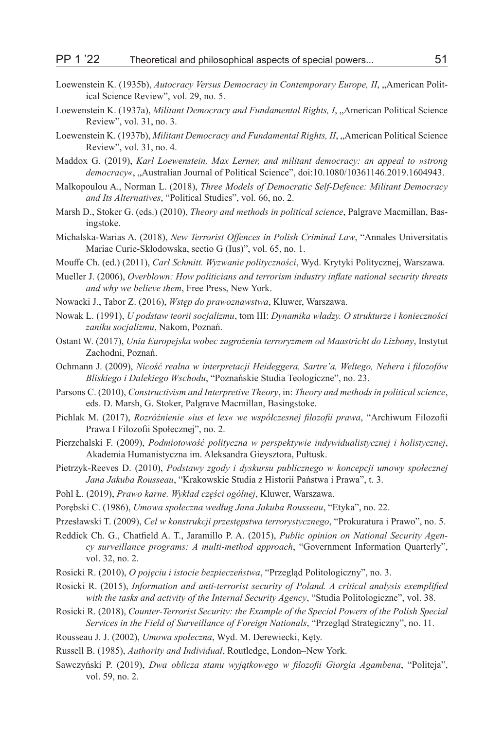- Loewenstein K. (1935b), *Autocracy Versus Democracy in Contemporary Europe, II*, "American Political Science Review", vol. 29, no. 5.
- Loewenstein K. (1937a), *Militant Democracy and Fundamental Rights, I*, "American Political Science Review", vol. 31, no. 3.
- Loewenstein K. (1937b), *Militant Democracy and Fundamental Rights, II*, "American Political Science Review", vol. 31, no. 4.
- Maddox G. (2019), *Karl Loewenstein, Max Lerner, and militant democracy: an appeal to »strong democracy«*, "Australian Journal of Political Science", doi:10.1080/10361146.2019.1604943.
- Malkopoulou A., Norman L. (2018), *Three Models of Democratic Self-Defence: Militant Democracy and Its Alternatives*, "Political Studies", vol. 66, no. 2.
- Marsh D., Stoker G. (eds.) (2010), *Theory and methods in political science*, Palgrave Macmillan, Basingstoke.
- Michalska-Warias A. (2018), *New Terrorist Offences in Polish Criminal Law*, "Annales Universitatis Mariae Curie-Skłodowska, sectio G (Ius)", vol. 65, no. 1.
- Mouffe Ch. (ed.) (2011), *Carl Schmitt. Wyzwanie polityczności*, Wyd. Krytyki Politycznej, Warszawa.
- Mueller J. (2006), *Overblown: How politicians and terrorism industry inflate national security threats and why we believe them*, Free Press, New York.
- Nowacki J., Tabor Z. (2016), *Wstęp do prawoznawstwa*, Kluwer, Warszawa.
- Nowak L. (1991), *U podstaw teorii socjalizmu*, tom III: *Dynamika władzy. O strukturze i konieczności zaniku socjalizmu*, Nakom, Poznań.
- Ostant W. (2017), *Unia Europejska wobec zagrożenia terroryzmem od Maastricht do Lizbony*, Instytut Zachodni, Poznań.
- Ochmann J. (2009), *Nicość realna w interpretacji Heideggera, Sartre'a, Weltego, Nehera i filozofów Bliskiego i Dalekiego Wschodu*, "Poznańskie Studia Teologiczne", no. 23.
- Parsons C. (2010), *Constructivism and Interpretive Theory*, in: *Theory and methods in political science*, eds. D. Marsh, G. Stoker, Palgrave Macmillan, Basingstoke.
- Pichlak M. (2017), *Rozróżnienie »ius et lex« we współczesnej filozofii prawa*, "Archiwum Filozofii Prawa I Filozofii Społecznej", no. 2.
- Pierzchalski F. (2009), *Podmiotowość polityczna w perspektywie indywidualistycznej i holistycznej*, Akademia Humanistyczna im. Aleksandra Gieysztora, Pułtusk.
- Pietrzyk-Reeves D. (2010), *Podstawy zgody i dyskursu publicznego w koncepcji umowy społecznej Jana Jakuba Rousseau*, "Krakowskie Studia z Historii Państwa i Prawa", t. 3.
- Pohl Ł. (2019), *Prawo karne. Wykład części ogólnej*, Kluwer, Warszawa.
- Porębski C. (1986), *Umowa społeczna według Jana Jakuba Rousseau*, "Etyka", no. 22.
- Przesławski T. (2009), *Cel w konstrukcji przestępstwa terrorystycznego*, "Prokuratura i Prawo", no. 5.
- Reddick Ch. G., Chatfield A. T., Jaramillo P. A. (2015), *Public opinion on National Security Agency surveillance programs: A multi-method approach*, "Government Information Quarterly", vol. 32, no. 2.
- Rosicki R. (2010), *O pojęciu i istocie bezpieczeństwa*, "Przegląd Politologiczny", no. 3.
- Rosicki R. (2015), *Information and anti-terrorist security of Poland. A critical analysis exemplified with the tasks and activity of the Internal Security Agency*, "Studia Politologiczne", vol. 38.
- Rosicki R. (2018), *Counter-Terrorist Security: the Example of the Special Powers of the Polish Special Services in the Field of Surveillance of Foreign Nationals*, "Przegląd Strategiczny", no. 11.
- Rousseau J. J. (2002), *Umowa społeczna*, Wyd. M. Derewiecki, Kęty.
- Russell B. (1985), *Authority and Individual*, Routledge, London–New York.
- Sawczyński P. (2019), *Dwa oblicza stanu wyjątkowego w filozofii Giorgia Agambena*, "Politeja", vol. 59, no. 2.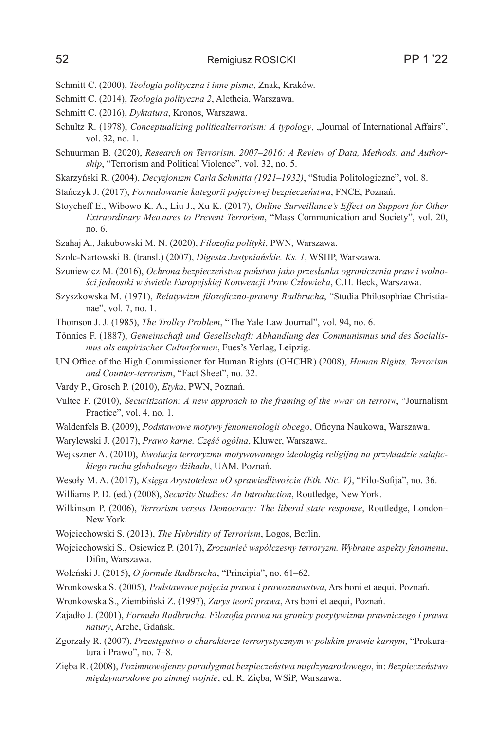Schmitt C. (2000), *Teologia polityczna i inne pisma*, Znak, Kraków.

- Schmitt C. (2014), *Teologia polityczna 2*, Aletheia, Warszawa.
- Schmitt C. (2016), *Dyktatura*, Kronos, Warszawa.
- Schultz R. (1978), *Conceptualizing politicalterrorism: A typology*, "Journal of International Affairs", vol. 32, no. 1.
- Schuurman B. (2020), *Research on Terrorism, 2007–2016: A Review of Data, Methods, and Authorship*, "Terrorism and Political Violence", vol. 32, no. 5.
- Skarzyński R. (2004), *Decyzjonizm Carla Schmitta (1921*–*1932)*, "Studia Politologiczne", vol. 8.
- Stańczyk J. (2017), *Formułowanie kategorii pojęciowej bezpieczeństwa*, FNCE, Poznań.
- Stoycheff E., Wibowo K. A., Liu J., Xu K. (2017), *Online Surveillance's Effect on Support for Other Extraordinary Measures to Prevent Terrorism*, "Mass Communication and Society", vol. 20, no. 6.
- Szahaj A., Jakubowski M. N. (2020), *Filozofia polityki*, PWN, Warszawa.

Szolc-Nartowski B. (transl.) (2007), *Digesta Justyniańskie. Ks. 1*, WSHP, Warszawa.

- Szuniewicz M. (2016), *Ochrona bezpieczeństwa państwa jako przesłanka ograniczenia praw i wolności jednostki w świetle Europejskiej Konwencji Praw Człowieka*, C.H. Beck, Warszawa.
- Szyszkowska M. (1971), *Relatywizm filozoficzno-prawny Radbrucha*, "Studia Philosophiae Christianae", vol. 7, no. 1.
- Thomson J. J. (1985), *The Trolley Problem*, "The Yale Law Journal", vol. 94, no. 6.
- Tönnies F. (1887), *Gemeinschaft und Gesellschaft: Abhandlung des Communismus und des Socialismus als empirischer Culturformen*, Fues's Verlag, Leipzig.
- UN Office of the High Commissioner for Human Rights (OHCHR) (2008), *Human Rights, Terrorism and Counter-terrorism*, "Fact Sheet", no. 32.
- Vardy P., Grosch P. (2010), *Etyka*, PWN, Poznań.
- Vultee F. (2010), *Securitization: A new approach to the framing of the »war on terror«*, "Journalism Practice", vol. 4, no. 1.
- Waldenfels B. (2009), *Podstawowe motywy fenomenologii obcego*, Oficyna Naukowa, Warszawa.
- Warylewski J. (2017), *Prawo karne. Część ogólna*, Kluwer, Warszawa.
- Wejkszner A. (2010), *Ewolucja terroryzmu motywowanego ideologią religijną na przykładzie salafickiego ruchu globalnego dżihadu*, UAM, Poznań.
- Wesoły M. A. (2017), *Księga Arystotelesa »O sprawiedliwości« (Eth. Nic. V)*, "Filo-Sofija", no. 36.
- Williams P. D. (ed.) (2008), *Security Studies: An Introduction*, Routledge, New York.
- Wilkinson P. (2006), *Terrorism versus Democracy: The liberal state response*, Routledge, London– New York.
- Wojciechowski S. (2013), *The Hybridity of Terrorism*, Logos, Berlin.
- Wojciechowski S., Osiewicz P. (2017), *Zrozumieć współczesny terroryzm. Wybrane aspekty fenomenu*, Difin, Warszawa.

Woleński J. (2015), *O formule Radbrucha*, "Principia", no. 61–62.

Wronkowska S. (2005), *Podstawowe pojęcia prawa i prawoznawstwa*, Ars boni et aequi, Poznań.

- Wronkowska S., Ziembiński Z. (1997), *Zarys teorii prawa*, Ars boni et aequi, Poznań.
- Zajadło J. (2001), *Formuła Radbrucha. Filozofia prawa na granicy pozytywizmu prawniczego i prawa natury*, Arche, Gdańsk.
- Zgorzały R. (2007), *Przestępstwo o charakterze terrorystycznym w polskim prawie karnym*, "Prokuratura i Prawo", no. 7–8.
- Zięba R. (2008), *Pozimnowojenny paradygmat bezpieczeństwa międzynarodowego*, in: *Bezpieczeństwo międzynarodowe po zimnej wojnie*, ed. R. Zięba, WSiP, Warszawa.